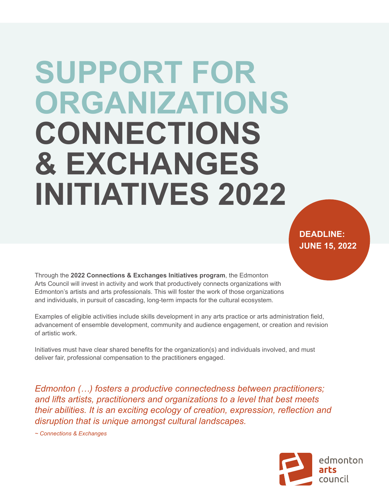# **SUPPORT FOR ORGANIZATIONS CONNECTIONS & EXCHANGES INITIATIVES 2022**

**DEADLINE: JUNE 15, 2022**

Through the **2022 Connections & Exchanges Initiatives program**, the Edmonton Arts Council will invest in activity and work that productively connects organizations with Edmonton's artists and arts professionals. This will foster the work of those organizations and individuals, in pursuit of cascading, long-term impacts for the cultural ecosystem.

Examples of eligible activities include skills development in any arts practice or arts administration field, advancement of ensemble development, community and audience engagement, or creation and revision of artistic work.

Initiatives must have clear shared benefits for the organization(s) and individuals involved, and must deliver fair, professional compensation to the practitioners engaged.

*Edmonton (…) fosters a productive connectedness between practitioners; and lifts artists, practitioners and organizations to a level that best meets their abilities. It is an exciting ecology of creation, expression, reflection and disruption that is unique amongst cultural landscapes.*

*~ Connections & Exchanges*

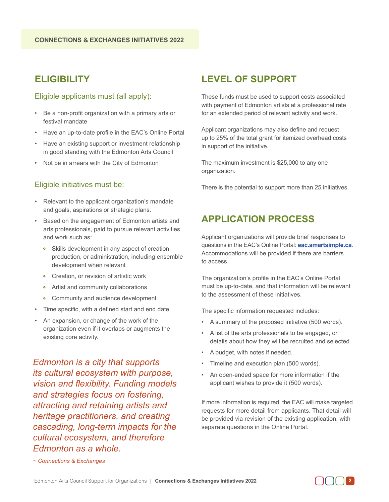### **ELIGIBILITY**

#### Eligible applicants must (all apply):

- Be a non-profit organization with a primary arts or festival mandate
- Have an up-to-date profile in the EAC's Online Portal
- Have an existing support or investment relationship in good standing with the Edmonton Arts Council
- Not be in arrears with the City of Edmonton

#### Eligible initiatives must be:

- Relevant to the applicant organization's mandate and goals, aspirations or strategic plans.
- Based on the engagement of Edmonton artists and arts professionals, paid to pursue relevant activities and work such as:
	- Skills development in any aspect of creation, production, or administration, including ensemble development when relevant
	- Creation, or revision of artistic work
	- Artist and community collaborations
	- Community and audience development
- Time specific, with a defined start and end date.
- An expansion, or change of the work of the organization even if it overlaps or augments the existing core activity.

*Edmonton is a city that supports its cultural ecosystem with purpose, vision and flexibility. Funding models and strategies focus on fostering, attracting and retaining artists and heritage practitioners, and creating cascading, long-term impacts for the cultural ecosystem, and therefore Edmonton as a whole.*

#### **LEVEL OF SUPPORT**

These funds must be used to support costs associated with payment of Edmonton artists at a professional rate for an extended period of relevant activity and work.

Applicant organizations may also define and request up to 25% of the total grant for itemized overhead costs in support of the initiative.

The maximum investment is \$25,000 to any one organization.

There is the potential to support more than 25 initiatives.

#### **APPLICATION PROCESS**

Applicant organizations will provide brief responses to questions in the EAC's Online Portal: **eac.smartsimple.ca**. Accommodations will be provided if there are barriers to access.

The organization's profile in the EAC's Online Portal must be up-to-date, and that information will be relevant to the assessment of these initiatives.

The specific information requested includes:

- A summary of the proposed initiative (500 words).
- A list of the arts professionals to be engaged, or details about how they will be recruited and selected.
- A budget, with notes if needed.
- Timeline and execution plan (500 words).
- An open-ended space for more information if the applicant wishes to provide it (500 words).

If more information is required, the EAC will make targeted requests for more detail from applicants. That detail will be provided via revision of the existing application, with separate questions in the Online Portal.

*~ Connections & Exchanges*